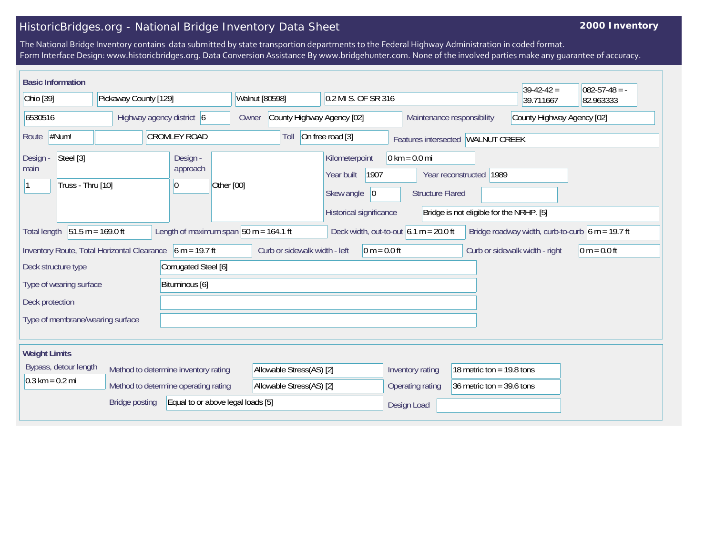## HistoricBridges.org - National Bridge Inventory Data Sheet

## **2000 Inventory**

The National Bridge Inventory contains data submitted by state transportion departments to the Federal Highway Administration in coded format. Form Interface Design: www.historicbridges.org. Data Conversion Assistance By www.bridgehunter.com. None of the involved parties make any guarantee of accuracy.

|                                                                                                                                                                                                                                                                 | <b>Basic Information</b>       |                                  |                                      |                          |                                                 |                          |                                            |                                                 |                                 |                            |                                     | $39-42-42 =$ | $ 082-57-48 = -$           |  |
|-----------------------------------------------------------------------------------------------------------------------------------------------------------------------------------------------------------------------------------------------------------------|--------------------------------|----------------------------------|--------------------------------------|--------------------------|-------------------------------------------------|--------------------------|--------------------------------------------|-------------------------------------------------|---------------------------------|----------------------------|-------------------------------------|--------------|----------------------------|--|
| Ohio [39]                                                                                                                                                                                                                                                       |                                | Pickaway County [129]            |                                      |                          | Walnut [80598]                                  |                          |                                            | 0.2 MI S. OF SR 316                             |                                 |                            | 39.711667                           | 82.963333    |                            |  |
| 6530516                                                                                                                                                                                                                                                         |                                | Highway agency district 6        |                                      |                          | County Highway Agency [02]<br>Owner             |                          |                                            |                                                 |                                 | Maintenance responsibility |                                     |              | County Highway Agency [02] |  |
| Route                                                                                                                                                                                                                                                           | #Num!                          |                                  | <b>CROMLEY ROAD</b>                  |                          |                                                 | Toll                     | On free road [3]                           |                                                 |                                 |                            | Features intersected   WALNUT CREEK |              |                            |  |
| Design<br>main                                                                                                                                                                                                                                                  | Steel [3]<br>Truss - Thru [10] |                                  | Design -<br>approach<br> 0           | Other [00]               |                                                 |                          | Kilometerpoint<br>Year built<br>Skew angle | 1907<br> 0                                      | $0 \text{ km} = 0.0 \text{ mi}$ | <b>Structure Flared</b>    | Year reconstructed 1989             |              |                            |  |
| Historical significance<br>Bridge is not eligible for the NRHP. [5]<br>$51.5 m = 169.0 ft$<br>Length of maximum span $50$ m = 164.1 ft<br>Deck width, out-to-out $6.1 m = 20.0 ft$<br>Bridge roadway width, curb-to-curb $6 m = 19.7 ft$<br><b>Total length</b> |                                |                                  |                                      |                          |                                                 |                          |                                            |                                                 |                                 |                            |                                     |              |                            |  |
| Inventory Route, Total Horizontal Clearance 6 m = 19.7 ft                                                                                                                                                                                                       |                                |                                  |                                      |                          | Curb or sidewalk width - left<br>$0 m = 0.0 ft$ |                          |                                            |                                                 | Curb or sidewalk width - right  | $0 m = 0.0 ft$             |                                     |              |                            |  |
| Corrugated Steel [6]<br>Deck structure type                                                                                                                                                                                                                     |                                |                                  |                                      |                          |                                                 |                          |                                            |                                                 |                                 |                            |                                     |              |                            |  |
| Bituminous [6]<br>Type of wearing surface                                                                                                                                                                                                                       |                                |                                  |                                      |                          |                                                 |                          |                                            |                                                 |                                 |                            |                                     |              |                            |  |
| Deck protection                                                                                                                                                                                                                                                 |                                |                                  |                                      |                          |                                                 |                          |                                            |                                                 |                                 |                            |                                     |              |                            |  |
|                                                                                                                                                                                                                                                                 |                                | Type of membrane/wearing surface |                                      |                          |                                                 |                          |                                            |                                                 |                                 |                            |                                     |              |                            |  |
| <b>Weight Limits</b>                                                                                                                                                                                                                                            |                                |                                  |                                      |                          |                                                 |                          |                                            |                                                 |                                 |                            |                                     |              |                            |  |
| Bypass, detour length<br>Method to determine inventory rating                                                                                                                                                                                                   |                                |                                  |                                      | Allowable Stress(AS) [2] |                                                 |                          |                                            | Inventory rating<br>18 metric ton = $19.8$ tons |                                 |                            |                                     |              |                            |  |
| $0.3 \text{ km} = 0.2 \text{ mi}$                                                                                                                                                                                                                               |                                |                                  | Method to determine operating rating |                          |                                                 | Allowable Stress(AS) [2] |                                            |                                                 | Operating rating                |                            | 36 metric ton = $39.6$ tons         |              |                            |  |
|                                                                                                                                                                                                                                                                 |                                | <b>Bridge posting</b>            | Equal to or above legal loads [5]    |                          |                                                 |                          |                                            |                                                 | Design Load                     |                            |                                     |              |                            |  |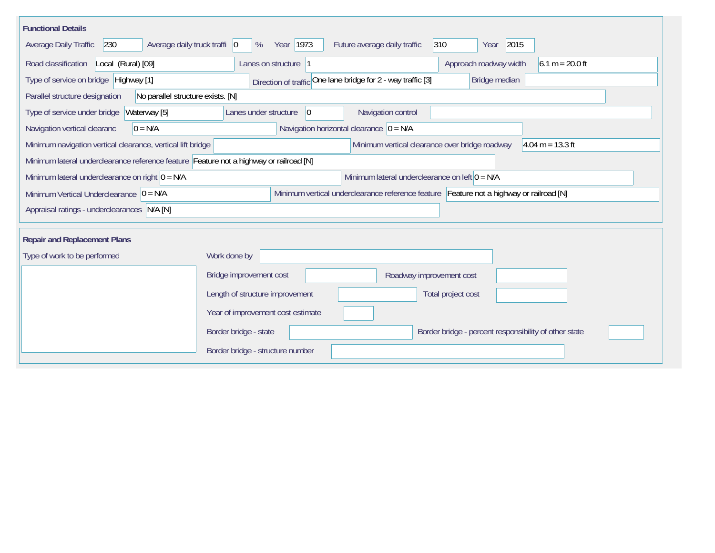| <b>Functional Details</b>                                                                                                                           |                                                                                         |  |  |  |  |  |  |  |  |  |
|-----------------------------------------------------------------------------------------------------------------------------------------------------|-----------------------------------------------------------------------------------------|--|--|--|--|--|--|--|--|--|
| Year 1973<br>2015<br>230<br>Average daily truck traffi   0<br>Future average daily traffic<br>$ 310\rangle$<br>Average Daily Traffic<br>%<br>Year   |                                                                                         |  |  |  |  |  |  |  |  |  |
| Road classification<br>Local (Rural) [09]                                                                                                           | Approach roadway width<br>$6.1 m = 20.0 ft$<br>Lanes on structure  1                    |  |  |  |  |  |  |  |  |  |
| Type of service on bridge   Highway [1]                                                                                                             | Direction of traffic One lane bridge for 2 - way traffic [3]<br>Bridge median           |  |  |  |  |  |  |  |  |  |
| Parallel structure designation<br>No parallel structure exists. [N]                                                                                 |                                                                                         |  |  |  |  |  |  |  |  |  |
| Waterway [5]<br>Type of service under bridge                                                                                                        | Navigation control<br>Lanes under structure<br> 0                                       |  |  |  |  |  |  |  |  |  |
| Navigation horizontal clearance $ 0 = N/A$<br>$0 = N/A$<br>Navigation vertical clearanc                                                             |                                                                                         |  |  |  |  |  |  |  |  |  |
| Minimum navigation vertical clearance, vertical lift bridge<br>Minimum vertical clearance over bridge roadway<br>$4.04 \text{ m} = 13.3 \text{ ft}$ |                                                                                         |  |  |  |  |  |  |  |  |  |
| Minimum lateral underclearance reference feature Feature not a highway or railroad [N]                                                              |                                                                                         |  |  |  |  |  |  |  |  |  |
| Minimum lateral underclearance on right $0 = N/A$                                                                                                   | Minimum lateral underclearance on left $0 = N/A$                                        |  |  |  |  |  |  |  |  |  |
| Minimum Vertical Underclearance $ 0 = N/A$                                                                                                          | Minimum vertical underclearance reference feature Feature not a highway or railroad [N] |  |  |  |  |  |  |  |  |  |
| Appraisal ratings - underclearances N/A [N]                                                                                                         |                                                                                         |  |  |  |  |  |  |  |  |  |
|                                                                                                                                                     |                                                                                         |  |  |  |  |  |  |  |  |  |
| <b>Repair and Replacement Plans</b>                                                                                                                 |                                                                                         |  |  |  |  |  |  |  |  |  |
| Type of work to be performed                                                                                                                        | Work done by                                                                            |  |  |  |  |  |  |  |  |  |
|                                                                                                                                                     | Bridge improvement cost<br>Roadway improvement cost                                     |  |  |  |  |  |  |  |  |  |
|                                                                                                                                                     | Length of structure improvement<br>Total project cost                                   |  |  |  |  |  |  |  |  |  |
|                                                                                                                                                     | Year of improvement cost estimate                                                       |  |  |  |  |  |  |  |  |  |
|                                                                                                                                                     | Border bridge - state<br>Border bridge - percent responsibility of other state          |  |  |  |  |  |  |  |  |  |
|                                                                                                                                                     | Border bridge - structure number                                                        |  |  |  |  |  |  |  |  |  |